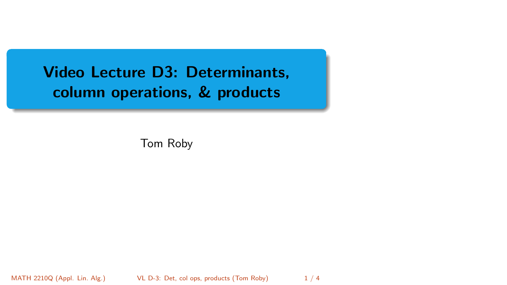<span id="page-0-0"></span>Video Lecture D3: Determinants, column operations, & products

Tom Roby

MATH 2210Q (Appl. Lin. Alg.) VL D-3: Det, col ops, products (Tom Roby) 1/4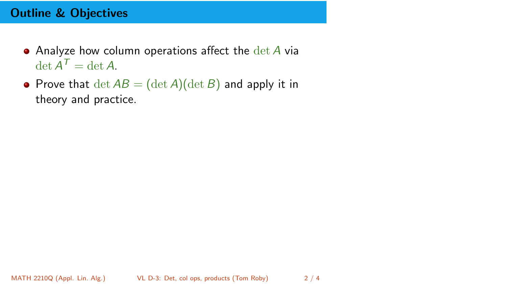## Outline & Objectives

- $\bullet$  Analyze how column operations affect the  $\det A$  via  $\det A^{\mathcal{T}} = \det A.$
- Prove that  $\det AB = (\det A)(\det B)$  and apply it in theory and practice.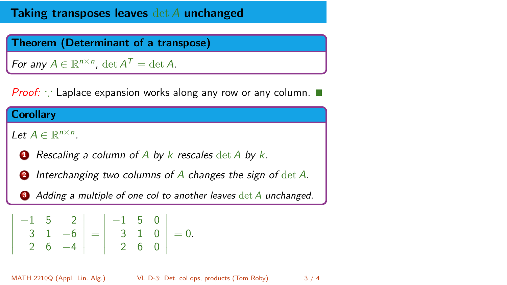## Taking transposes leaves det A unchanged

Theorem (Determinant of a transpose)

For any  $A \in \mathbb{R}^{n \times n}$ ,  $\det A^T = \det A$ .

Proof: ∵ Laplace expansion works along any row or any column.

## **Corollary**

I I I I I I

Let  $A \in \mathbb{R}^{n \times n}$ .

- **1** Rescaling a column of A by k rescales  $\det A$  by k.
- **2** Interchanging two columns of A changes the sign of  $det A$ .

Adding a multiple of one col to another leaves  $\det A$  unchanged.

$$
\begin{vmatrix} -1 & 5 & 2 \\ 3 & 1 & -6 \\ 2 & 6 & -4 \end{vmatrix} = \begin{vmatrix} -1 & 5 & 0 \\ 3 & 1 & 0 \\ 2 & 6 & 0 \end{vmatrix} = 0.
$$